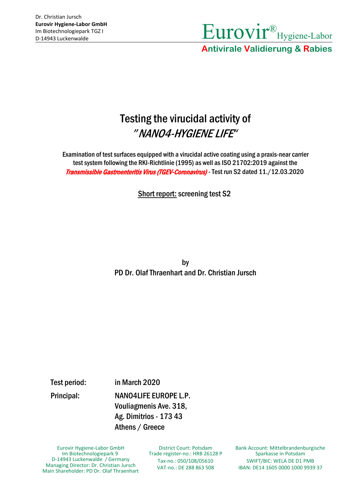

### Testing the virucidal activity of *"*NANO4-HYGIENE LIFE*"*

Examination of test surfaces equipped with a virucidal active coating using a praxis-near carrier test system following the RKI-Richtlinie (1995) as well as ISO 21702:2019 against the Transmissible Gastroenteritis Virus (TGEV-Coronavirus) - Test run S2 dated 11./12.03.2020

Short report: screening test S2

by PD Dr. Olaf Thraenhart and Dr. Christian Jursch

Test period: in March 2020

Principal: NANO4LIFE EUROPE L.P. Vouliagmenis Ave. 318, Ag. Dimitrios - 173 43 Athens / Greece

Eurovir Hygiene-Labor GmbH Im Biotechnologiepark 9 D-14943 Luckenwalde / Germany Managing Director: Dr. Christian Jursch Main Shareholder: PD Dr. Olaf Thraenhart

District Court: Potsdam Trade register-no.: HRB 26128 P Tax-no.: 050/108/05610 VAT-no.: DE 288 863 508

Bank Account: Mittelbrandenburgische Sparkasse in Potsdam SWIFT/BIC: WELA DE D1 PMB IBAN: DE14 1605 0000 1000 9939 37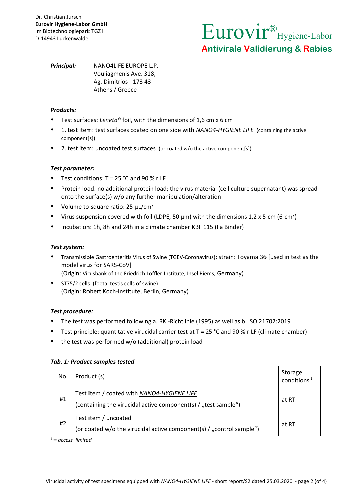Eurovir® Hygiene-Labor

**Antivirale Validierung & Rabies**

*Principal:* NANO4LIFE EUROPE L.P. Vouliagmenis Ave. 318, Ag. Dimitrios - 173 43 Athens / Greece

### *Products:*

- Test surfaces: *Leneta®* foil, with the dimensions of 1,6 cm x 6 cm
- 1. test item: test surfaces coated on one side with *NANO4-HYGIENE LIFE* (containing the active component[s])
- 2. test item: uncoated test surfaces (or coated w/o the active component[s])

### *Test parameter:*

- Test conditions: T = 25 °C and 90 % r.LF
- Protein load: no additional protein load; the virus material (cell culture supernatant) was spread onto the surface(s) w/o any further manipulation/alteration
- Volume to square ratio:  $25 \mu L/cm^2$
- Virus suspension covered with foil (LDPE, 50  $\mu$ m) with the dimensions 1,2 x 5 cm (6 cm<sup>2</sup>)
- Incubation: 1h, 8h and 24h in a climate chamber KBF 115 (Fa Binder)

### *Test system:*

- Transmissible Gastroenteritis Virus of Swine (TGEV-Coronavirus); strain: Toyama 36 [used in test as the model virus for SARS-CoV] (Origin: Virusbank of the Friedrich Löffler-Institute, Insel Riems, Germany)
- ST75/2 cells (foetal testis cells of swine)
	- (Origin: Robert Koch-Institute, Berlin, Germany)

### *Test procedure:*

- The test was performed following a. RKI-Richtlinie (1995) as well as b. ISO 21702:2019
- **•** Test principle: quantitative virucidal carrier test at  $T = 25$  °C and 90 % r. LF (climate chamber)
- the test was performed w/o (additional) protein load

| No. | Product (s)                                                                                                  | Storage<br>conditions <sup>1</sup> |
|-----|--------------------------------------------------------------------------------------------------------------|------------------------------------|
| #1  | Test item / coated with NANO4-HYGIENE LIFE<br>(containing the virucidal active component(s) / "test sample") | at RT                              |
| #2  | Test item / uncoated<br>(or coated w/o the virucidal active component(s) / "control sample")                 | at RT                              |

### *Tab. 1: Product samples tested*

1 = *access limited*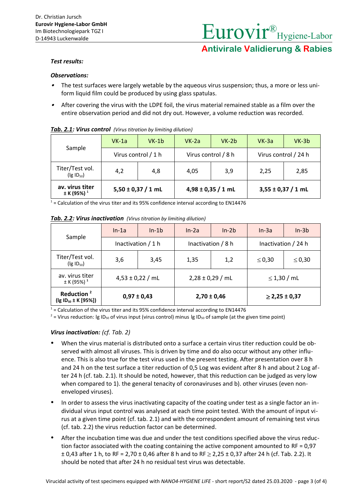# Eurovir® Hygiene-Labor **Antivirale Validierung & Rabies**

### *Test results:*

### *Observations:*

- . The test surfaces were largely wetable by the aqueous virus suspension; thus, a more or less uniform liquid film could be produced by using glass spatulas.
- . After covering the virus with the LDPE foil, the virus material remained stable as a film over the entire observation period and did not dry out. However, a volume reduction was recorded.

| <b>TWATERS:</b> THE WORD CONTRIBUTED THE RESERVED OF THE RESERVED OF THE RESERVED OF THE RESERVED OF THE RESERVED OF THE RESERVED OF THE RESERVED OF THE RESERVED OF THE RESERVED OF THE RESERVED OF THE RESERVED OF THE RESERVED O |                        |         |                        |         |                        |         |  |  |  |  |
|-------------------------------------------------------------------------------------------------------------------------------------------------------------------------------------------------------------------------------------|------------------------|---------|------------------------|---------|------------------------|---------|--|--|--|--|
|                                                                                                                                                                                                                                     | $VK-1a$                | $VK-1b$ | $VK-2a$                | $VK-2b$ | $VK-3a$                | $VK-3b$ |  |  |  |  |
| Sample                                                                                                                                                                                                                              | Virus control / 1 h    |         | Virus control / 8 h    |         | Virus control / 24 h   |         |  |  |  |  |
| Titer/Test vol.<br>$(\lg$ ID <sub>50</sub> )                                                                                                                                                                                        | 4,2                    | 4,8     | 4,05                   | 3,9     | 2,25                   | 2,85    |  |  |  |  |
| av. virus titer<br>$± K (95%)$ <sup>1</sup>                                                                                                                                                                                         | $5,50 \pm 0,37 / 1$ mL |         | $4,98 \pm 0,35 / 1$ mL |         | $3,55 \pm 0,37 / 1$ mL |         |  |  |  |  |

### *Tab. 2.1: Virus control (Virus titration by limiting dilution)*

 $1$  = Calculation of the virus titer and its 95% confidence interval according to EN14476

|                                                              | $In-1a$              | $In-1b$ | $In-2a$              | $In-2b$ | $In-3a$             | $In-3b$     |
|--------------------------------------------------------------|----------------------|---------|----------------------|---------|---------------------|-------------|
| Sample                                                       | Inactivation $/1 h$  |         | Inactivation / 8 h   |         | Inactivation / 24 h |             |
| Titer/Test vol.<br>$($ lg ID <sub>50</sub> $)$               | 3,6                  | 3,45    | 1,35                 | 1,2     | $\leq 0,30$         | $\leq 0,30$ |
| av. virus titer<br>$± K (95%)$ <sup>1</sup>                  | $4,53 \pm 0,22$ / mL |         | $2,28 \pm 0,29$ / mL |         | $\leq$ 1,30 / mL    |             |
| Reduction <sup>2</sup><br>$($ lg ID <sub>50</sub> ± K [95%]) | $0,97 \pm 0,43$      |         | $2,70 \pm 0,46$      |         | $\geq$ 2,25 ± 0,37  |             |

*Tab. 2.2: Virus inactivation (Virus titration by limiting dilution)*

 $1$  = Calculation of the virus titer and its 95% confidence interval according to EN14476

<sup>2</sup> = Virus reduction: Ig ID<sub>50</sub> of virus input (virus control) minus Ig ID<sub>50</sub> of sample (at the given time point)

### *Virus inactivation: (cf. Tab. 2)*

- When the virus material is distributed onto a surface a certain virus titer reduction could be observed with almost all viruses. This is driven by time and do also occur without any other influence. This is also true for the test virus used in the present testing. After presentation over 8 h and 24 h on the test surface a titer reduction of 0,5 Log was evident after 8 h and about 2 Log after 24 h (cf. tab. 2.1). It should be noted, however, that this reduction can be judged as very low when compared to 1). the general tenacity of coronaviruses and b). other viruses (even nonenveloped viruses).
- In order to assess the virus inactivating capacity of the coating under test as a single factor an individual virus input control was analysed at each time point tested. With the amount of input virus at a given time point (cf. tab. 2.1) and with the correspondent amount of remaining test virus (cf. tab. 2.2) the virus reduction factor can be determined.
- After the incubation time was due and under the test conditions specified above the virus reduction factor associated with the coating containing the active component amounted to RF = 0,97  $± 0.43$  after 1 h, to RF = 2,70  $± 0.46$  after 8 h and to RF  $≥ 2.25 ± 0.37$  after 24 h (cf. Tab. 2.2). It should be noted that after 24 h no residual test virus was detectable.